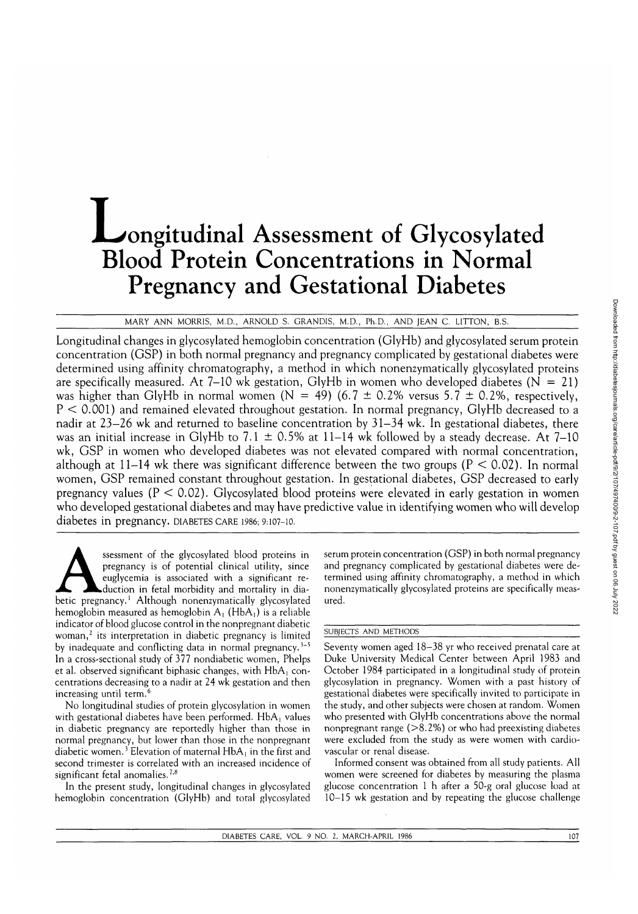# **L**ongitudinal Assessment of Glycosylated Blood Protein Concentrations in Normal Pregnancy and Gestational Diabetes

MARY ANN MORRIS, M.D., ARNOLD S. GRANDIS, M.D., Ph.D., AND JEAN C. LITTON, B.S.

Longitudinal changes in glycosylated hemoglobin concentration (GlyHb) and glycosylated serum protein concentration (GSP) in both normal pregnancy and pregnancy complicated by gestational diabetes were determined using affinity chromatography, a method in which nonenzymatically glycosylated proteins are specifically measured. At 7–10 wk gestation, GlyHb in women who developed diabetes ( $N = 21$ ) was higher than GlyHb in normal women (N = 49) (6.7  $\pm$  0.2% versus 5.7  $\pm$  0.2%, respectively,  $P < 0.001$ ) and remained elevated throughout gestation. In normal pregnancy, GlyHb decreased to a nadir at 23–26 wk and returned to baseline concentration by 31–34 wk. In gestational diabetes, there was an initial increase in GlyHb to 7.1  $\pm$  0.5% at 11–14 wk followed by a steady decrease. At 7–10 wk, GSP in women who developed diabetes was not elevated compared with normal concentration, although at 11-14 wk there was significant difference between the two groups ( $P < 0.02$ ). In normal women, GSP remained constant throughout gestation. In gestational diabetes, GSP decreased to early pregnancy values ( $P < 0.02$ ). Glycosylated blood proteins were elevated in early gestation in women who developed gestational diabetes and may have predictive value in identifying women who will develop diabetes in pregnancy, DIABETES CARE 1986; 9:107-10.

ssessment of the glycosylated blood proteins in pregnancy is of potential clinical utility, since euglycemia is associated with a significant rebetic pregnancy.<sup>1</sup> Although nonenzymatically glycosylated pregnancy is of potential clinical utility, since euglycemia is associated with a significant reduction in fetal morbidity and mortality in diahemoglobin measured as hemoglobin  $A_1$  (Hb $A_1$ ) is a reliable indicator of blood glucose control in the nonpregnant diabetic woman,<sup>2</sup> its interpretation in diabetic pregnancy is limited by inadequate and conflicting data in normal pregnancy.<sup>3-5</sup> In a cross-sectional study of 377 nondiabetic women, Phelps et al. observed significant biphasic changes, with  $HbA<sub>1</sub>$  concentrations decreasing to a nadir at 24 wk gestation and then increasing until term.<sup>6</sup>

No longitudinal studies of protein glycosylation in women with gestational diabetes have been performed. HbA, values in diabetic pregnancy are reportedly higher than those in normal pregnancy, but lower than those in the nonpregnant diabetic women.<sup>3</sup> Elevation of maternal HbA<sub>1</sub> in the first and second trimester is correlated with an increased incidence of significant fetal anomalies.<sup>7,8</sup>

In the present study, longitudinal changes in glycosylated hemoglobin concentration (GlyHb) and total glycosylated

serum protein concentration (GSP) in both normal pregnancy and pregnancy complicated by gestational diabetes were determined using affinity chromatography, a method in which nonenzymatically glycosylated proteins are specifically measured.

# SUBJECTS AND METHODS

Seventy women aged 18-38 yr who received prenatal care at Duke University Medical Center between April 1983 and October 1984 participated in a longitudinal study of protein glycosylation in pregnancy. Women with a past history of gestational diabetes were specifically invited to participate in the study, and other subjects were chosen at random. Women who presented with GlyHb concentrations above the normal nonpregnant range (>8.2%) or who had preexisting diabetes were excluded from the study as were women with cardiovascular or renal disease.

Informed consent was obtained from all study patients. All women were screened for diabetes by measuring the plasma glucose concentration 1 h after a 50-g oral glucose load at 10-15 wk gestation and by repeating the glucose challenge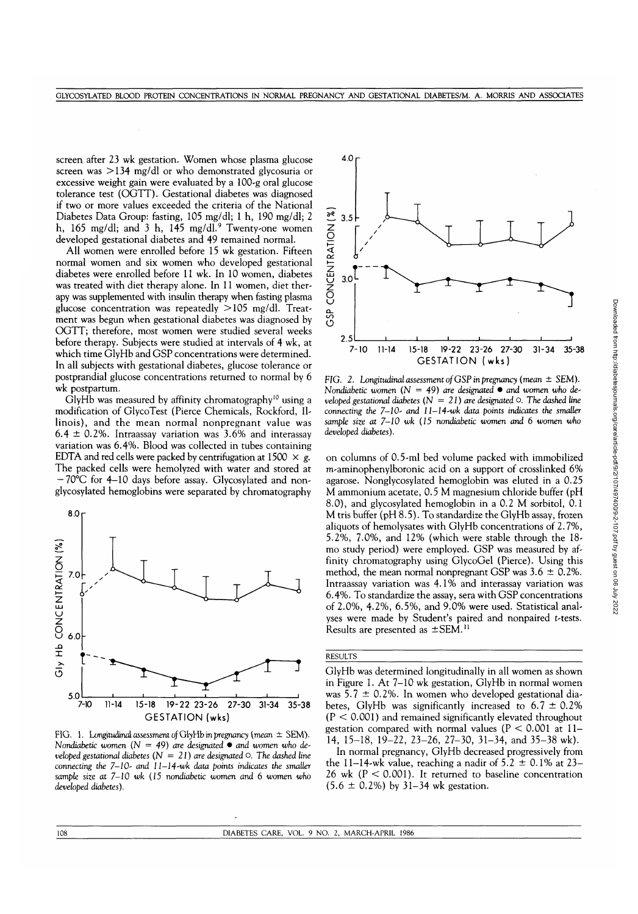screen after 23 wk gestation. Women whose plasma glucose screen was >134 mg/dl or who demonstrated glycosuria or excessive weight gain were evaluated by a 100-g oral glucose tolerance test (OGTT). Gestational diabetes was diagnosed if two or more values exceeded the criteria of the National Diabetes Data Group: fasting, 105 mg/dl; 1 h, 190 mg/dl; 2 h, 165 mg/dl; and 3 h, 145 mg/dl. $^9$  Twenty-one women developed gestational diabetes and 49 remained normal.

All women were enrolled before 15 wk gestation. Fifteen normal women and six women who developed gestational diabetes were enrolled before 11 wk. In 10 women, diabetes was treated with diet therapy alone. In 11 women, diet therapy was supplemented with insulin therapy when fasting plasma glucose concentration was repeatedly >105 mg/dl. Treatment was begun when gestational diabetes was diagnosed by OGTT; therefore, most women were studied several weeks before therapy. Subjects were studied at intervals of 4 wk, at which time GlyHb and GSP concentrations were determined. In all subjects with gestational diabetes, glucose tolerance or postprandial glucose concentrations returned to normal by 6 wk postpartum.

GlyHb was measured by affinity chromatography<sup>10</sup> using a modification of GlycoTest (Pierce Chemicals, Rockford, Illinois), and the mean normal nonpregnant value was 6.4  $\pm$  0.2%. Intraassay variation was 3.6% and interassay variation was 6.4%. Blood was collected in tubes containing EDTA and red cells were packed by centrifugation at  $1500 \times g$ . The packed cells were hemolyzed with water and stored at — 70°C for 4-10 days before assay. Glycosylated and nonglycosylated hemoglobins were separated by chromatography



FIG. 1. Longitudinal assessment *of* GtyHb in *pregnancy {mean ±* SEM). *Nondiabetic women* (N = *49) are designated* • *and women who developed gestational diabetes*  $(N = 21)$  *are designated*  $\circ$ . The dashed line *connecting the 7-10- and ll-14-wk data points indicates the smaller sample size at 7-10 wk (15 nondiabetic women and* 6 *women who developed diabetes).*



FIG. 2. Longitudinal assessment of GSP in pregnancy (mean  $\pm$  SEM). *Nondiabetic women (N* = 49) *are designated* • *and women who developed gestational diabetes (N* = *21) are designated O. The dashed line connecting the 7-10- and ll-14-wk data points indicates the smaller sample size at 7—10 wk (15 nondiabetic women and* 6 *women who developed diabetes).*

on columns of 0.5-ml bed volume packed with immobilized m-aminophenylboronic acid on a support of crosslinked 6% agarose. Nonglycosylated hemoglobin was eluted in a 0.25 M ammonium acetate, 0.5 M magnesium chloride buffer (pH 8.0), and glycosylated hemoglobin in a 0.2 M sorbitol, 0.1 M tris buffer (pH 8.5). To standardize the GlyHb assay, frozen aliquots of hemolysates with GlyHb concentrations of 2.7%, 5.2%, 7.0%, and 12% (which were stable through the 18 mo study period) were employed. GSP was measured by affinity chromatography using GlycoGel (Pierce). Using this method, the mean normal nonpregnant GSP was  $3.6 \pm 0.2\%$ . Intraassay variation was 4.1% and interassay variation was 6.4%. To standardize the assay, sera with GSP concentrations of 2.0%, 4.2%, 6.5%, and 9.0% were used. Statistical analyses were made by Student's paired and nonpaired t-tests. Results are presented as  $\pm$ SEM.<sup>11</sup>

#### **RESULTS**

GlyHb was determined longitudinally in all women as shown in Figure 1. At 7-10 wk gestation, GlyHb in normal women was 5.7  $\pm$  0.2%. In women who developed gestational diabetes, GlyHb was significantly increased to  $6.7 \pm 0.2\%$  $(P < 0.001)$  and remained significantly elevated throughout gestation compared with normal values ( $P < 0.001$  at 11– 14, 15-18, 19-22, 23-26, 27-30, 31-34, and 35-38 wk).

In normal pregnancy, GlyHb decreased progressively from the 11–14-wk value, reaching a nadir of  $5.2 \pm 0.1\%$  at 23– 26 wk ( $P < 0.001$ ). It returned to baseline concentration  $(5.6 \pm 0.2\%)$  by 31–34 wk gestation.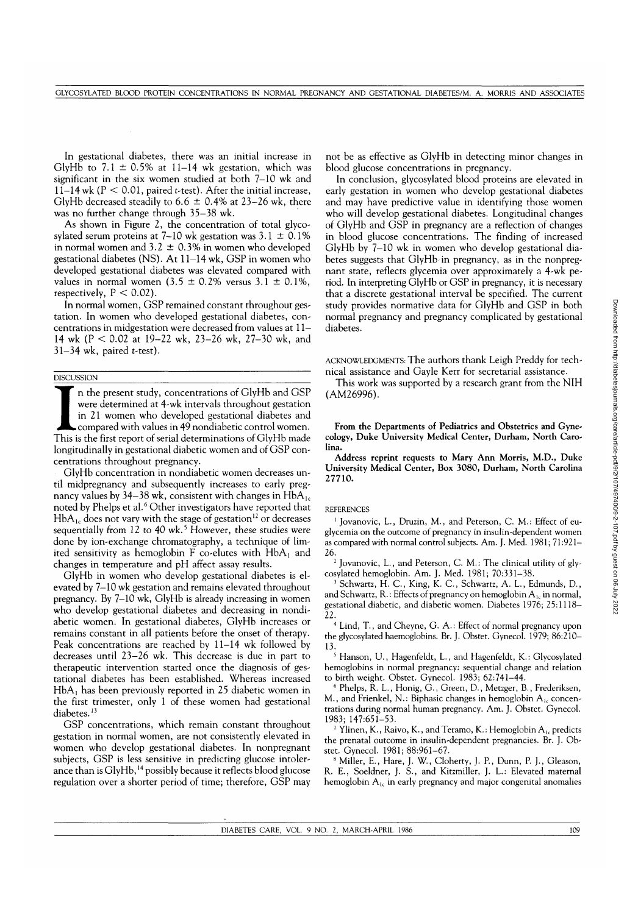Downloaded from http://diabetesjournals.org/care/article-pdf/9/2/107/497400/9-2-107.pdf by guest on 06 July 2022 Downloaded from http://diabetesjournals.org/care/article-pdf/9/2/107/497400/9-2-107.pdf by guest on 06 July 2022

In gestational diabetes, there was an initial increase in GlyHb to  $7.1 \pm 0.5\%$  at 11–14 wk gestation, which was significant in the six women studied at both 7-10 wk and 11-14 wk ( $P < 0.01$ , paired *t*-test). After the initial increase, GlyHb decreased steadily to  $6.6 \pm 0.4\%$  at 23–26 wk, there was no further change through 35-38 wk.

As shown in Figure 2, the concentration of total glycosylated serum proteins at 7-10 wk gestation was  $3.1 \pm 0.1\%$ in normal women and  $3.2 \pm 0.3\%$  in women who developed gestational diabetes (NS). At 11-14 wk, GSP in women who developed gestational diabetes was elevated compared with values in normal women  $(3.5 \pm 0.2\%$  versus  $3.1 \pm 0.1\%$ , respectively,  $P < 0.02$ ).

In normal women, GSP remained constant throughout gestation. In women who developed gestational diabetes, concentrations in midgestation were decreased from values at 11— 14 wk (P < 0.02 at 19-22 wk, 23-26 wk, 27-30 wk, and  $31-34$  wk, paired t-test).

## **DISCUSSION**

DISCUSSION<br>
In the present study, concentrations of GlyHb and GSP<br>
were determined at 4-wk intervals throughout gestation<br>
in 21 women who developed gestational diabetes and<br>
compared with values in 49 nondiabetic control n the present study, concentrations of GlyHb and GSP were determined at 4-wk intervals throughout gestation in 21 women who developed gestational diabetes and compared with values in 49 nondiabetic control women. longitudinally in gestational diabetic women and of GSP concentrations throughout pregnancy.

GlyHb concentration in nondiabetic women decreases until midpregnancy and subsequently increases to early pregnancy values by 34–38 wk, consistent with changes in  $HbA_{1c}$ noted by Phelps et al.<sup>6</sup> Other investigators have reported that HbA<sub>1c</sub> does not vary with the stage of gestation<sup>12</sup> or decreases sequentially from 12 to 40 wk.<sup>5</sup> However, these studies were done by ion-exchange chromatography, a technique of limited sensitivity as hemoglobin F co-elutes with  $HbA_1$  and changes in temperature and pH affect assay results.

GlyHb in women who develop gestational diabetes is elevated by 7-10 wk gestation and remains elevated throughout pregnancy. By 7-10 wk, GlyHb is already increasing in women who develop gestational diabetes and decreasing in nondiabetic women. In gestational diabetes, GlyHb increases or remains constant in all patients before the onset of therapy. Peak concentrations are reached by 11-14 wk followed by decreases until 23-26 wk. This decrease is due in part to therapeutic intervention started once the diagnosis of gestational diabetes has been established. Whereas increased  $HbA<sub>1</sub>$  has been previously reported in 25 diabetic women in the first trimester, only 1 of these women had gestational diabetes.<sup>13</sup>

GSP concentrations, which remain constant throughout gestation in normal women, are not consistently elevated in women who develop gestational diabetes. In nonpregnant subjects, GSP is less sensitive in predicting glucose intolerance than is GlyHb,  $^{14}$  possibly because it reflects blood glucose regulation over a shorter period of time; therefore, GSP may not be as effective as GlyHb in detecting minor changes in blood glucose concentrations in pregnancy.

In conclusion, glycosylated blood proteins are elevated in early gestation in women who develop gestational diabetes and may have predictive value in identifying those women who will develop gestational diabetes. Longitudinal changes of GlyHb and GSP in pregnancy are a reflection of changes in blood glucose concentrations. The finding of increased GlyHb by 7-10 wk in women who develop gestational diabetes suggests that GlyHb-in pregnancy, as in the nonpregnant state, reflects glycemia over approximately a 4-wk period. In interpreting GlyHb or GSP in pregnancy, it is necessary that a discrete gestational interval be specified. The current study provides normative data for GlyHb and GSP in both normal pregnancy and pregnancy complicated by gestational diabetes.

ACKNOWLEDGMENTS: The authors thank Leigh Preddy for technical assistance and Gayle Kerr for secretarial assistance.

This work was supported by a research grant from the NIH (AM26996).

**From the Departments of Pediatrics and Obstetrics and Gynecology, Duke University Medical Center, Durham, North Carolina.**

**Address reprint requests to Mary Ann Morris, M.D., Duke University Medical Center, Box 3080, Durham, North Carolina 27710.**

## REFERENCES

1 Jovanovic, L., Druzin, M., and Peterson, C. M.: Effect of euglycemia on the outcome of pregnancy in insulin-dependent women as compared with normal control subjects. Am. J. Med. 1981; 71:921- 26.

<sup>2</sup> Jovanovic, L., and Peterson, C. M.: The clinical utility of glycosylated hemoglobin. Am. J. Med. 1981; 70:331-38.

 Schwartz, H. C., King, K. C., Schwartz, A. L., Edmunds, D., and Schwartz, R.: Effects of pregnancy on hemoglobin  $A_{1c}$  in normal, gestational diabetic, and diabetic women. Diabetes 1976; 25:1118- 22.

4 Lind, T., and Cheyne, G. A.: Effect of normal pregnancy upon the glycosylated haemoglobins. Br. J. Obstet. Gynecol. 1979; 86:210- 13.

<sup>5</sup> Hanson, U., Hagenfeldt, L., and Hagenfeldt, K.: Glycosylated hemoglobins in normal pregnancy: sequential change and relation to birth weight. Obstet. Gynecol. 1983; 62:741-44.

 Phelps, R. L., Honig, G., Green, D., Metzger, B., Frederiksen, M., and Frienkel, N.: Biphasic changes in hemoglobin  $A_{1c}$  concentrations during normal human pregnancy. Am. J. Obstet. Gynecol. 1983; 147:651-53.

<sup>7</sup> Ylinen, K., Raivo, K., and Teramo, K.: Hemoglobin  $A_{1c}$  predicts the prenatal outcome in insulin-dependent pregnancies. Br. J. Obstet. Gynecol. 1981; 88:961-67. <sup>8</sup>

 Miller, E., Hare, J. W., Cloherty, J. P., Dunn, P. J., Gleason, R. E., Soeldner, J. S., and Kitzmiller, J. L.: Elevated maternal hemoglobin  $A_{1c}$  in early pregnancy and major congenital anomalies